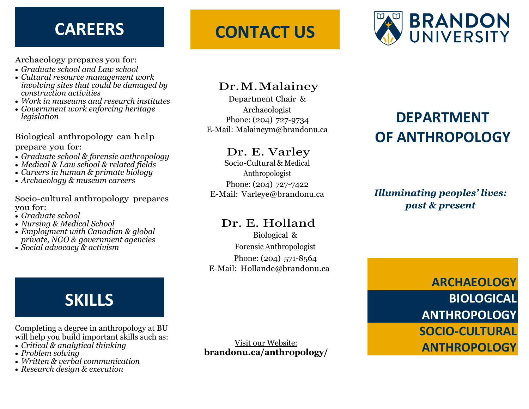Archaeology prepares you for:

- *Graduate school and Law school*
- *Cultural resource management work involving sites that could be damaged by construction activities*
- *Work in museums and research institutes*
- *Government work enforcing heritage legislation*

Biological anthropology can help prepare you for:

- *Graduate school & forensic anthropology*
- *Medical & Law school & related fields*
- *Careers in human & primate biology*
- *Archaeology & museum careers*

Socio-cultural anthropology prepares you for:

- *Graduate school*
- *Nursing & Medical School*
- *Employment with Canadian & global private, NGO & government agencies*
- *Social advocacy & activism*

# **SKILLS**

Completing a degree in anthropology at BU will help you build important skills such as:

- *Critical & analytical thinking*
- *Problem solving*
- *Written & verbal communication*
- *Research design & execution*

# **CAREERS CONTACT US**



## Dr.M.Malainey

Department Chair & Archaeologist Phone: (204) 727-9734 E-Mail: [Malaineym@brandonu.ca](mailto:malrnneym@brandonu.ca)

## Dr. E. Varley

Socio-Cultural & Medical Anthropologist Phone: (204) 727-7422 E-Mail: [Varleye@brandonu.ca](mailto:varleye@brandonu.ca)

### Dr. E. Holland

Biological & Forensic Anthropologist Phone: (204) 571-8564 E-Mail: [Hollande@brandonu.ca](mailto:hollande@brandonu.ca)

Visit our Website: **brandonu.ca/anthropology/**

# **DEPARTMENT OF ANTHROPOLOGY**

## *Illuminating peoples' lives: past & present*

**ARCHAEOLOGY BIOLOGICAL ANTHROPOLOGY SOCIO-CULTURAL ANTHROPOLOGY**